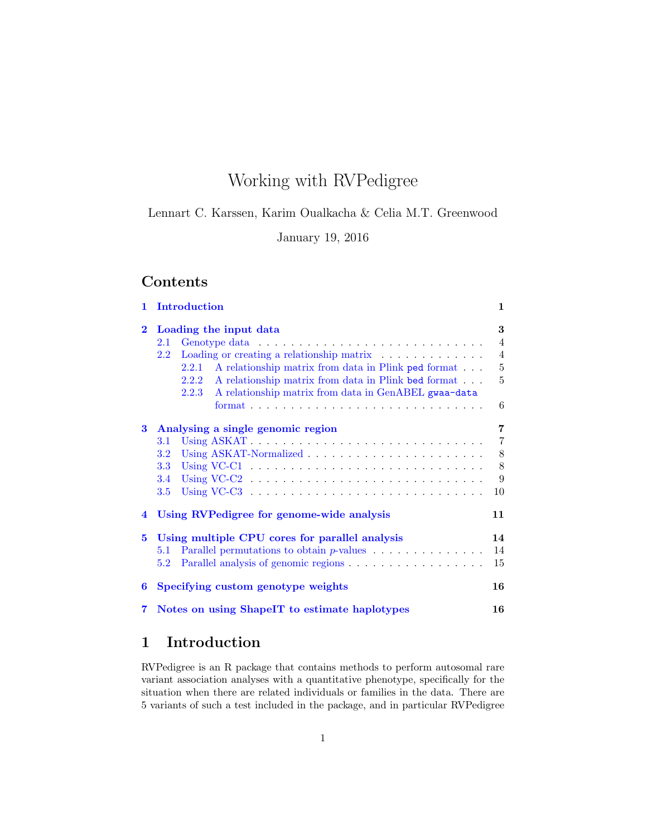# Working with RVPedigree

Lennart C. Karssen, Karim Oualkacha & Celia M.T. Greenwood

January 19, 2016

# Contents

| 1        | <b>Introduction</b>                                                                                                                                                                                                                                                                                                     | $\mathbf{1}$                                                      |
|----------|-------------------------------------------------------------------------------------------------------------------------------------------------------------------------------------------------------------------------------------------------------------------------------------------------------------------------|-------------------------------------------------------------------|
| $\bf{2}$ | Loading the input data<br>2.1<br>Loading or creating a relationship matrix $\ldots \ldots \ldots \ldots$<br>$2.2^{\circ}$<br>2.2.1 A relationship matrix from data in Plink ped format<br>A relationship matrix from data in Plink bed format<br>2.2.2<br>A relationship matrix from data in GenABEL gwaa-data<br>2.2.3 | 3<br>$\overline{4}$<br>$\overline{4}$<br>$\overline{5}$<br>5<br>6 |
| 3        | Analysing a single genomic region<br>3.1<br>Using ASKAT-Normalized<br>$3.2\,$<br>3.3<br>Using VC-C2 $\dots \dots \dots \dots \dots \dots \dots \dots \dots \dots \dots \dots \dots$<br>3.4<br>3.5<br>Using VC-C3 $\ldots \ldots \ldots \ldots \ldots \ldots \ldots \ldots \ldots \ldots \ldots$                         | $\overline{7}$<br>$\overline{7}$<br>8<br>8<br>9<br>10             |
| 4        | Using RVPedigree for genome-wide analysis                                                                                                                                                                                                                                                                               | 11                                                                |
| 5        | Using multiple CPU cores for parallel analysis<br>Parallel permutations to obtain $p$ -values $\ldots \ldots \ldots \ldots$<br>5.1<br>5.2                                                                                                                                                                               | 14<br>14<br>15                                                    |
| 6        | Specifying custom genotype weights                                                                                                                                                                                                                                                                                      | 16                                                                |
| 7.       | Notes on using ShapeIT to estimate haplotypes                                                                                                                                                                                                                                                                           | 16                                                                |

# <span id="page-0-0"></span>1 Introduction

RVPedigree is an R package that contains methods to perform autosomal rare variant association analyses with a quantitative phenotype, specifically for the situation when there are related individuals or families in the data. There are 5 variants of such a test included in the package, and in particular RVPedigree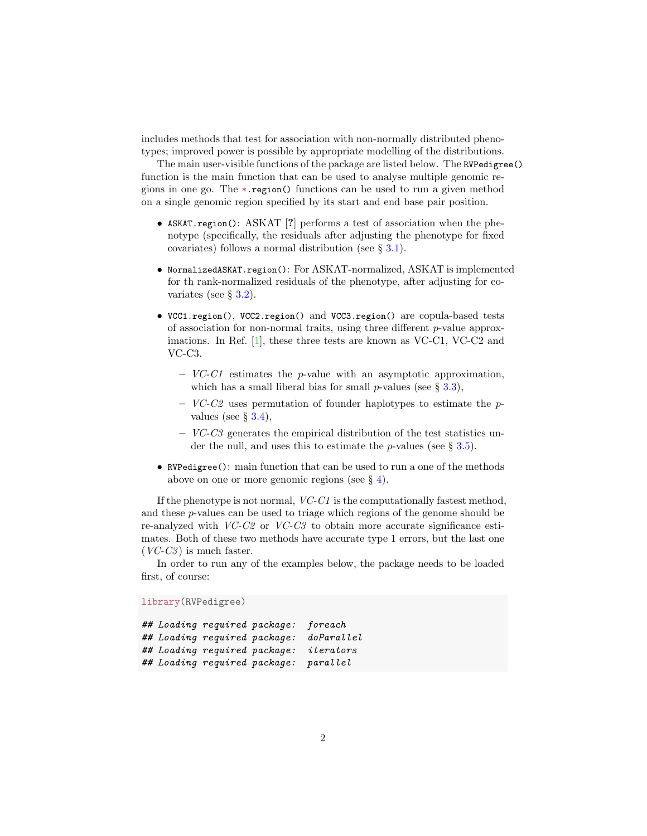includes methods that test for association with non-normally distributed phenotypes; improved power is possible by appropriate modelling of the distributions.

The main user-visible functions of the package are listed below. The RVPedigree() function is the main function that can be used to analyse multiple genomic regions in one go. The \*.region() functions can be used to run a given method on a single genomic region specified by its start and end base pair position.

- ASKAT.region(): ASKAT [?] performs a test of association when the phenotype (specifically, the residuals after adjusting the phenotype for fixed covariates) follows a normal distribution (see  $\S 3.1$ ).
- NormalizedASKAT.region(): For ASKAT-normalized, ASKAT is implemented for th rank-normalized residuals of the phenotype, after adjusting for covariates (see § [3.2\)](#page-7-0).
- VCC1.region(), VCC2.region() and VCC3.region() are copula-based tests of association for non-normal traits, using three different  $p$ -value approximations. In Ref. [\[1\]](#page-16-0), these three tests are known as VC-C1, VC-C2 and VC-C3.
	- $-$  VC-C1 estimates the p-value with an asymptotic approximation, which has a small liberal bias for small p-values (see  $\S 3.3$ ),
	- $-$  VC-C<sub>2</sub> uses permutation of founder haplotypes to estimate the pvalues (see  $\S$  [3.4\)](#page-8-0),
	- VC-C3 generates the empirical distribution of the test statistics under the null, and uses this to estimate the  $p$ -values (see § [3.5\)](#page-9-0).
- RVPedigree(): main function that can be used to run a one of the methods above on one or more genomic regions (see § [4\)](#page-10-0).

If the phenotype is not normal,  $VC-C1$  is the computationally fastest method, and these p-values can be used to triage which regions of the genome should be re-analyzed with  $VC-C2$  or  $VC-C3$  to obtain more accurate significance estimates. Both of these two methods have accurate type 1 errors, but the last one  $(VC-C3)$  is much faster.

In order to run any of the examples below, the package needs to be loaded first, of course:

```
library(RVPedigree)
```

```
## Loading required package: foreach
## Loading required package: doParallel
## Loading required package: iterators
## Loading required package: parallel
```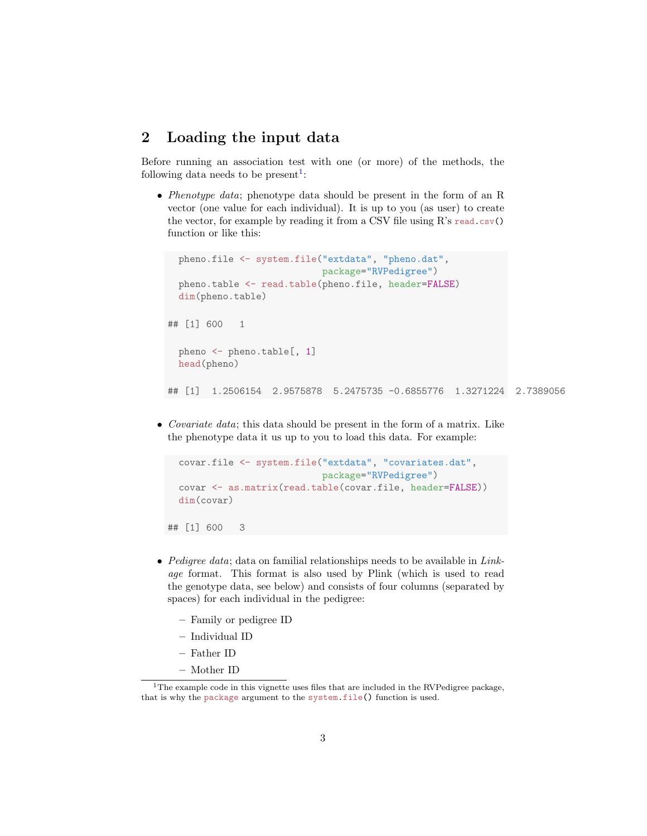## <span id="page-2-0"></span>2 Loading the input data

Before running an association test with one (or more) of the methods, the following data needs to be present<sup>[1](#page-2-1)</sup>:

• Phenotype data; phenotype data should be present in the form of an R vector (one value for each individual). It is up to you (as user) to create the vector, for example by reading it from a CSV file using R's read.csv() function or like this:

```
pheno.file <- system.file("extdata", "pheno.dat",
                           package="RVPedigree")
 pheno.table <- read.table(pheno.file, header=FALSE)
 dim(pheno.table)
## [1] 600 1
 pheno <- pheno.table[, 1]
 head(pheno)
## [1] 1.2506154 2.9575878 5.2475735 -0.6855776 1.3271224 2.7389056
```
• Covariate data; this data should be present in the form of a matrix. Like the phenotype data it us up to you to load this data. For example:

```
covar.file <- system.file("extdata", "covariates.dat",
                            package="RVPedigree")
  covar <- as.matrix(read.table(covar.file, header=FALSE))
 dim(covar)
## [1] 600 3
```
- Pedigree data; data on familial relationships needs to be available in  $Link$ age format. This format is also used by Plink (which is used to read the genotype data, see below) and consists of four columns (separated by spaces) for each individual in the pedigree:
	- Family or pedigree ID
	- Individual ID
	- Father ID
	- Mother ID

<span id="page-2-1"></span><sup>&</sup>lt;sup>1</sup>The example code in this vignette uses files that are included in the RVPedigree package, that is why the package argument to the system.file() function is used.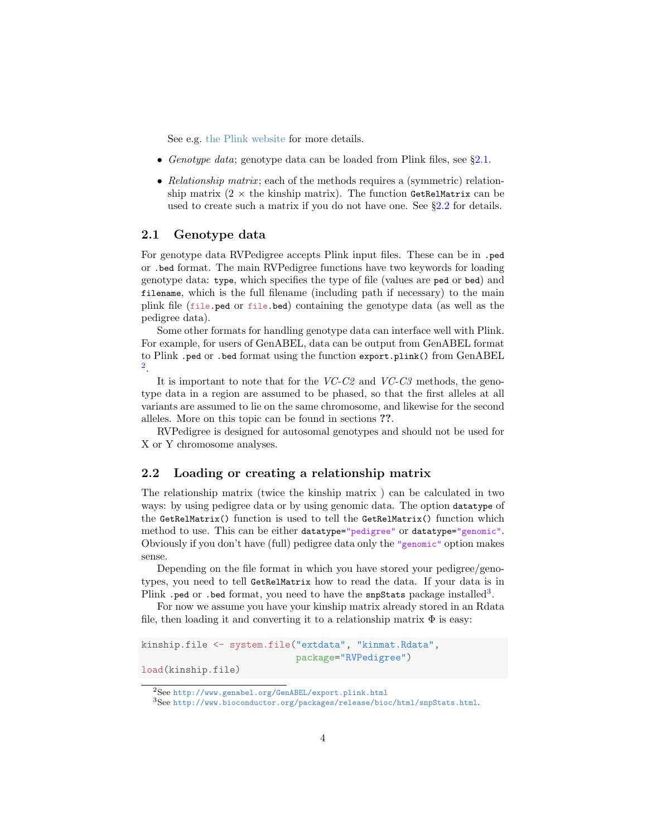See e.g. [the Plink website](http://pngu.mgh.harvard.edu/~purcell/plink/data.shtml#ped) for more details.

- Genotype data; genotype data can be loaded from Plink files, see  $\S 2.1$ .
- Relationship matrix; each of the methods requires a (symmetric) relationship matrix  $(2 \times$  the kinship matrix). The function GetRelMatrix can be used to create such a matrix if you do not have one. See §[2.2](#page-3-1) for details.

### <span id="page-3-0"></span>2.1 Genotype data

For genotype data RVPedigree accepts Plink input files. These can be in .ped or .bed format. The main RVPedigree functions have two keywords for loading genotype data: type, which specifies the type of file (values are ped or bed) and filename, which is the full filename (including path if necessary) to the main plink file (file.ped or file.bed) containing the genotype data (as well as the pedigree data).

Some other formats for handling genotype data can interface well with Plink. For example, for users of GenABEL, data can be output from GenABEL format to Plink .ped or .bed format using the function export.plink() from GenABEL [2](#page-3-2) .

It is important to note that for the  $VC-C2$  and  $VC-C3$  methods, the genotype data in a region are assumed to be phased, so that the first alleles at all variants are assumed to lie on the same chromosome, and likewise for the second alleles. More on this topic can be found in sections ??.

RVPedigree is designed for autosomal genotypes and should not be used for X or Y chromosome analyses.

#### <span id="page-3-1"></span>2.2 Loading or creating a relationship matrix

The relationship matrix (twice the kinship matrix ) can be calculated in two ways: by using pedigree data or by using genomic data. The option datatype of the GetRelMatrix() function is used to tell the GetRelMatrix() function which method to use. This can be either datatype="pedigree" or datatype="genomic". Obviously if you don't have (full) pedigree data only the "genomic" option makes sense.

Depending on the file format in which you have stored your pedigree/genotypes, you need to tell GetRelMatrix how to read the data. If your data is in Plink .ped or .bed format, you need to have the snpStats package installed<sup>[3](#page-3-3)</sup>.

For now we assume you have your kinship matrix already stored in an Rdata file, then loading it and converting it to a relationship matrix  $\Phi$  is easy:

```
kinship.file <- system.file("extdata", "kinmat.Rdata",
                            package="RVPedigree")
```
load(kinship.file)

<span id="page-3-2"></span><sup>2</sup>See <http://www.genabel.org/GenABEL/export.plink.html>

<span id="page-3-3"></span><sup>3</sup>See <http://www.bioconductor.org/packages/release/bioc/html/snpStats.html>.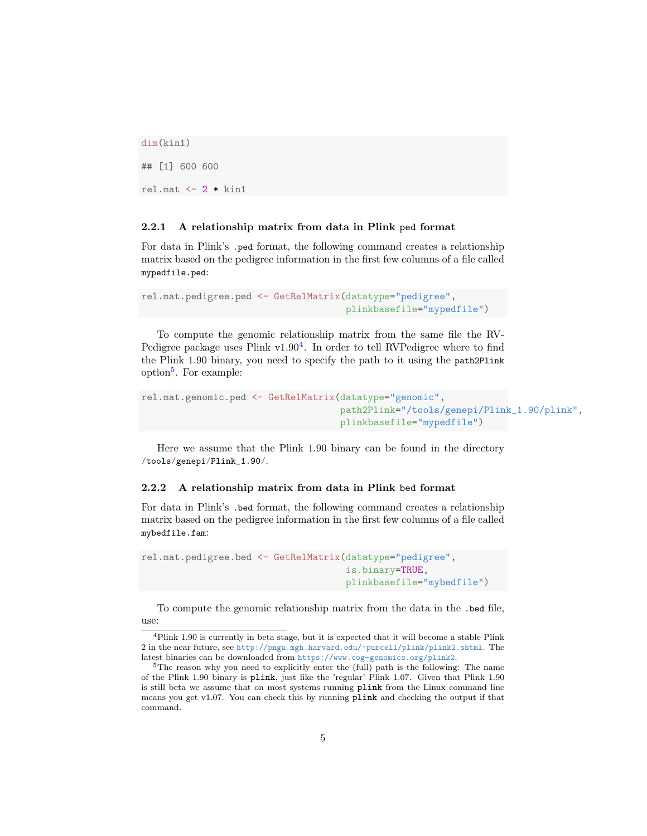dim(kin1)

## [1] 600 600 rel.mat  $\leq -2$  \* kin1

#### <span id="page-4-0"></span>2.2.1 A relationship matrix from data in Plink ped format

For data in Plink's .ped format, the following command creates a relationship matrix based on the pedigree information in the first few columns of a file called mypedfile.ped:

```
rel.mat.pedigree.ped <- GetRelMatrix(datatype="pedigree",
                                     plinkbasefile="mypedfile")
```
To compute the genomic relationship matrix from the same file the RV-Pedigree package uses Plink  $v1.90<sup>4</sup>$  $v1.90<sup>4</sup>$  $v1.90<sup>4</sup>$ . In order to tell RVPedigree where to find the Plink 1.90 binary, you need to specify the path to it using the path2Plink option<sup>[5](#page-4-3)</sup>. For example:

```
rel.mat.genomic.ped <- GetRelMatrix(datatype="genomic",
                                    path2Plink="/tools/genepi/Plink_1.90/plink",
                                    plinkbasefile="mypedfile")
```
Here we assume that the Plink 1.90 binary can be found in the directory /tools/genepi/Plink\_1.90/.

#### <span id="page-4-1"></span>2.2.2 A relationship matrix from data in Plink bed format

For data in Plink's .bed format, the following command creates a relationship matrix based on the pedigree information in the first few columns of a file called mybedfile.fam:

```
rel.mat.pedigree.bed <- GetRelMatrix(datatype="pedigree",
                                      is.binary=TRUE,
                                     plinkbasefile="mybedfile")
```
To compute the genomic relationship matrix from the data in the .bed file, use:

<span id="page-4-2"></span><sup>4</sup>Plink 1.90 is currently in beta stage, but it is expected that it will become a stable Plink 2 in the near future, see <http://pngu.mgh.harvard.edu/~purcell/plink/plink2.shtml>. The latest binaries can be downloaded from <https://www.cog-genomics.org/plink2>.

<span id="page-4-3"></span><sup>5</sup>The reason why you need to explicitly enter the (full) path is the following: The name of the Plink 1.90 binary is plink, just like the 'regular' Plink 1.07. Given that Plink 1.90 is still beta we assume that on most systems running plink from the Linux command line means you get v1.07. You can check this by running plink and checking the output if that command.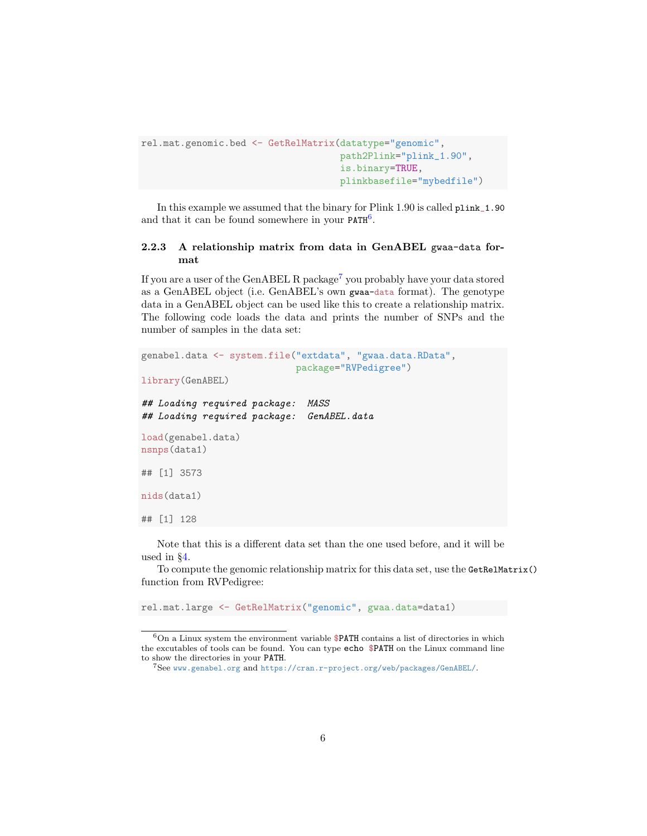```
rel.mat.genomic.bed <- GetRelMatrix(datatype="genomic",
                                     path2Plink="plink_1.90",
                                     is.binary=TRUE,
                                     plinkbasefile="mybedfile")
```
In this example we assumed that the binary for Plink 1.90 is called plink\_1.90 and that it can be found somewhere in your  $PATH<sup>6</sup>$  $PATH<sup>6</sup>$  $PATH<sup>6</sup>$ .

#### <span id="page-5-0"></span>2.2.3 A relationship matrix from data in GenABEL gwaa-data format

If you are a user of the GenABEL R package<sup>[7](#page-5-2)</sup> you probably have your data stored as a GenABEL object (i.e. GenABEL's own gwaa-data format). The genotype data in a GenABEL object can be used like this to create a relationship matrix. The following code loads the data and prints the number of SNPs and the number of samples in the data set:

```
genabel.data <- system.file("extdata", "gwaa.data.RData",
                            package="RVPedigree")
library(GenABEL)
## Loading required package: MASS
## Loading required package: GenABEL.data
load(genabel.data)
nsnps(data1)
## [1] 3573
nids(data1)
## [1] 128
```
Note that this is a different data set than the one used before, and it will be used in §[4.](#page-10-0)

To compute the genomic relationship matrix for this data set, use the GetRelMatrix() function from RVPedigree:

rel.mat.large <- GetRelMatrix("genomic", gwaa.data=data1)

<span id="page-5-1"></span> $6$ On a Linux system the environment variable  $PATH$  contains a list of directories in which the excutables of tools can be found. You can type echo \$PATH on the Linux command line to show the directories in your PATH.

<span id="page-5-2"></span><sup>7</sup>See <www.genabel.org> and <https://cran.r-project.org/web/packages/GenABEL/>.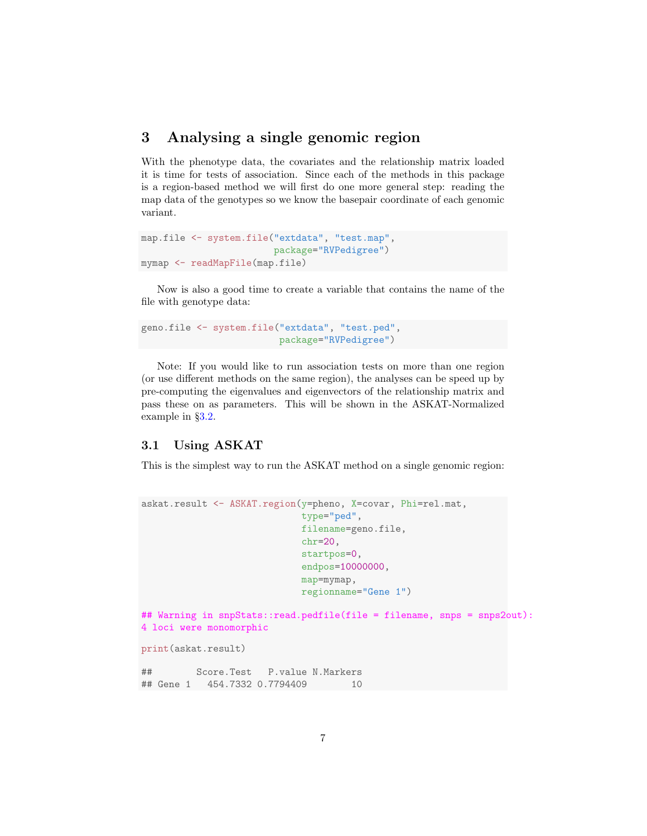## <span id="page-6-0"></span>3 Analysing a single genomic region

With the phenotype data, the covariates and the relationship matrix loaded it is time for tests of association. Since each of the methods in this package is a region-based method we will first do one more general step: reading the map data of the genotypes so we know the basepair coordinate of each genomic variant.

```
map.file <- system.file("extdata", "test.map",
                        package="RVPedigree")
mymap <- readMapFile(map.file)
```
Now is also a good time to create a variable that contains the name of the file with genotype data:

```
geno.file <- system.file("extdata", "test.ped",
                         package="RVPedigree")
```
Note: If you would like to run association tests on more than one region (or use different methods on the same region), the analyses can be speed up by pre-computing the eigenvalues and eigenvectors of the relationship matrix and pass these on as parameters. This will be shown in the ASKAT-Normalized example in §[3.2.](#page-7-0)

#### <span id="page-6-1"></span>3.1 Using ASKAT

This is the simplest way to run the ASKAT method on a single genomic region:

```
askat.result <- ASKAT.region(y=pheno, X=covar, Phi=rel.mat,
                            type="ped",
                            filename=geno.file,
                            chr=20,
                            startpos=0,
                            endpos=10000000,
                            map=mymap,
                            regionname="Gene 1")
## Warning in snpStats::read.pedfile(file = filename, snps = snps2out):
4 loci were monomorphic
print(askat.result)
## Score.Test P.value N.Markers
## Gene 1 454.7332 0.7794409 10
```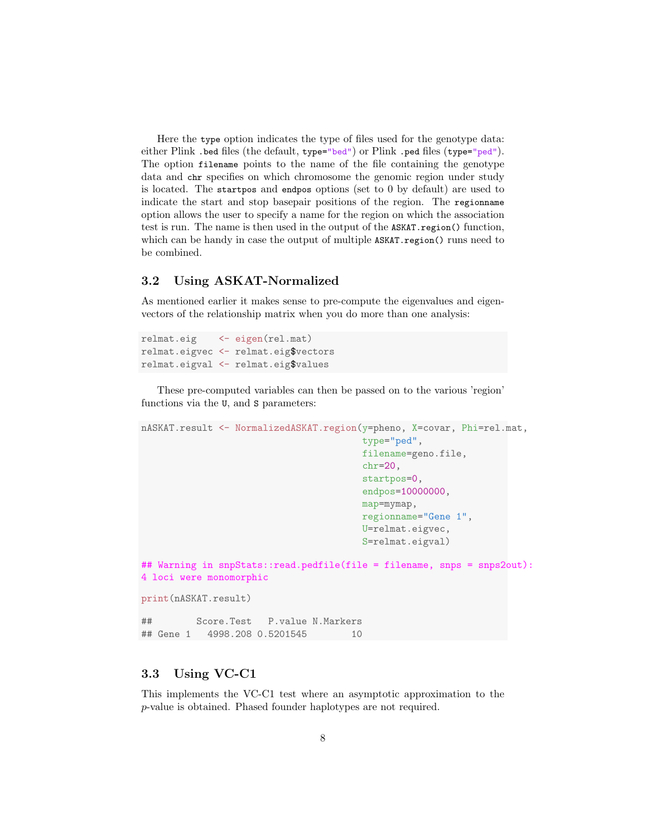Here the type option indicates the type of files used for the genotype data: either Plink .bed files (the default, type="bed") or Plink .ped files (type="ped"). The option filename points to the name of the file containing the genotype data and chr specifies on which chromosome the genomic region under study is located. The startpos and endpos options (set to 0 by default) are used to indicate the start and stop basepair positions of the region. The regionname option allows the user to specify a name for the region on which the association test is run. The name is then used in the output of the ASKAT.region() function, which can be handy in case the output of multiple  $ASKAT-region()$  runs need to be combined.

#### <span id="page-7-0"></span>3.2 Using ASKAT-Normalized

As mentioned earlier it makes sense to pre-compute the eigenvalues and eigenvectors of the relationship matrix when you do more than one analysis:

```
relmat.eig <- eigen(rel.mat)
relmat.eigvec <- relmat.eig$vectors
relmat.eigval <- relmat.eig$values
```
These pre-computed variables can then be passed on to the various 'region' functions via the U, and S parameters:

```
nASKAT.result <- NormalizedASKAT.region(y=pheno, X=covar, Phi=rel.mat,
                                       type="ped",
                                       filename=geno.file,
                                       chr=20,
                                       startpos=0,
                                       endpos=10000000,
                                       map=mymap,
                                       regionname="Gene 1",
                                       U=relmat.eigvec,
                                       S=relmat.eigval)
## Warning in snpStats::read.pedfile(file = filename, snps = snps2out):
4 loci were monomorphic
print(nASKAT.result)
## Score.Test P.value N.Markers
## Gene 1 4998.208 0.5201545 10
```
### <span id="page-7-1"></span>3.3 Using VC-C1

This implements the VC-C1 test where an asymptotic approximation to the p-value is obtained. Phased founder haplotypes are not required.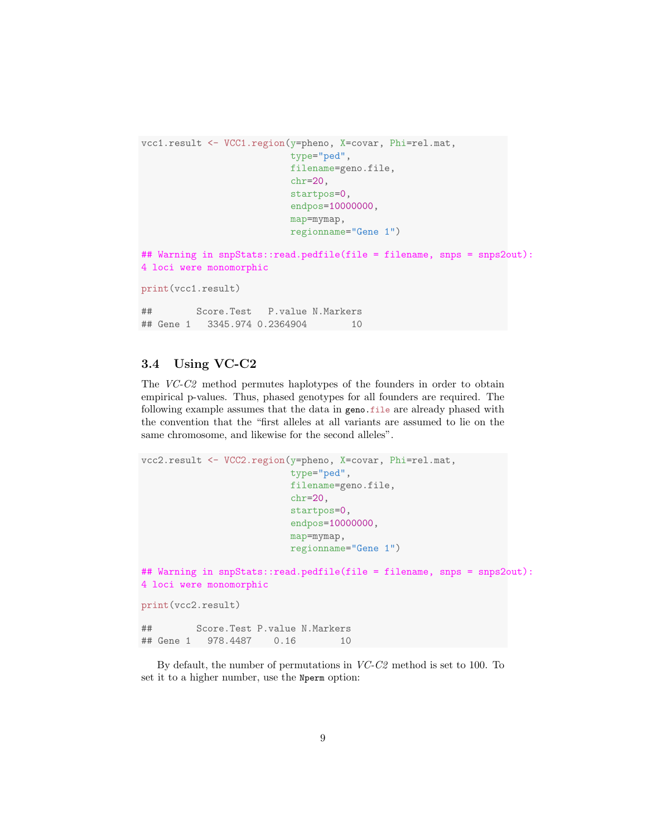```
vcc1.result <- VCC1.region(y=pheno, X=covar, Phi=rel.mat,
                          type="ped",
                          filename=geno.file,
                          chr=20,
                          startpos=0,
                          endpos=10000000,
                          map=mymap,
                          regionname="Gene 1")
## Warning in snpStats::read.pedfile(file = filename, snps = snps2out):
4 loci were monomorphic
print(vcc1.result)
## Score.Test P.value N.Markers
```
## Gene 1 3345.974 0.2364904 10

### <span id="page-8-0"></span>3.4 Using VC-C2

The VC-C2 method permutes haplotypes of the founders in order to obtain empirical p-values. Thus, phased genotypes for all founders are required. The following example assumes that the data in geno.file are already phased with the convention that the "first alleles at all variants are assumed to lie on the same chromosome, and likewise for the second alleles".

```
vcc2.result <- VCC2.region(y=pheno, X=covar, Phi=rel.mat,
                          type="ped",
                         filename=geno.file,
                         chr=20,
                         startpos=0,
                          endpos=10000000,
                         map=mymap,
                         regionname="Gene 1")
## Warning in snpStats::read.pedfile(file = filename, snps = snps2out):
4 loci were monomorphic
print(vcc2.result)
## Score.Test P.value N.Markers
## Gene 1 978.4487 0.16 10
```
By default, the number of permutations in  $VC-C2$  method is set to 100. To set it to a higher number, use the Nperm option: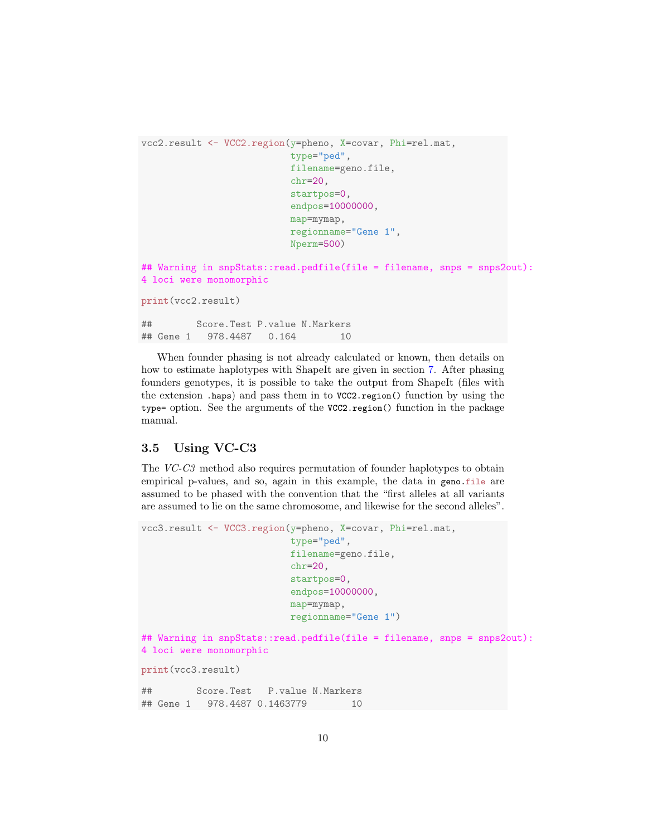```
vcc2.result <- VCC2.region(y=pheno, X=covar, Phi=rel.mat,
                          type="ped",
                          filename=geno.file,
                          chr=20,
                          startpos=0,
                          endpos=10000000,
                          map=mymap,
                          regionname="Gene 1",
                          Nperm=500)
## Warning in snpStats::read.pedfile(file = filename, snps = snps2out):
4 loci were monomorphic
print(vcc2.result)
## Score.Test P.value N.Markers
## Gene 1 978.4487 0.164 10
```
When founder phasing is not already calculated or known, then details on how to estimate haplotypes with ShapeIt are given in section [7.](#page-15-1) After phasing founders genotypes, it is possible to take the output from ShapeIt (files with the extension .haps) and pass them in to VCC2.region() function by using the type= option. See the arguments of the VCC2.region() function in the package manual.

### <span id="page-9-0"></span>3.5 Using VC-C3

The VC-C3 method also requires permutation of founder haplotypes to obtain empirical p-values, and so, again in this example, the data in geno.file are assumed to be phased with the convention that the "first alleles at all variants are assumed to lie on the same chromosome, and likewise for the second alleles".

```
vcc3.result <- VCC3.region(y=pheno, X=covar, Phi=rel.mat,
                          type="ped",
                          filename=geno.file,
                          chr=20.
                          startpos=0,
                          endpos=10000000,
                          map=mymap,
                          regionname="Gene 1")
## Warning in snpStats::read.pedfile(file = filename, snps = snps2out):
4 loci were monomorphic
print(vcc3.result)
## Score.Test P.value N.Markers
## Gene 1 978.4487 0.1463779 10
```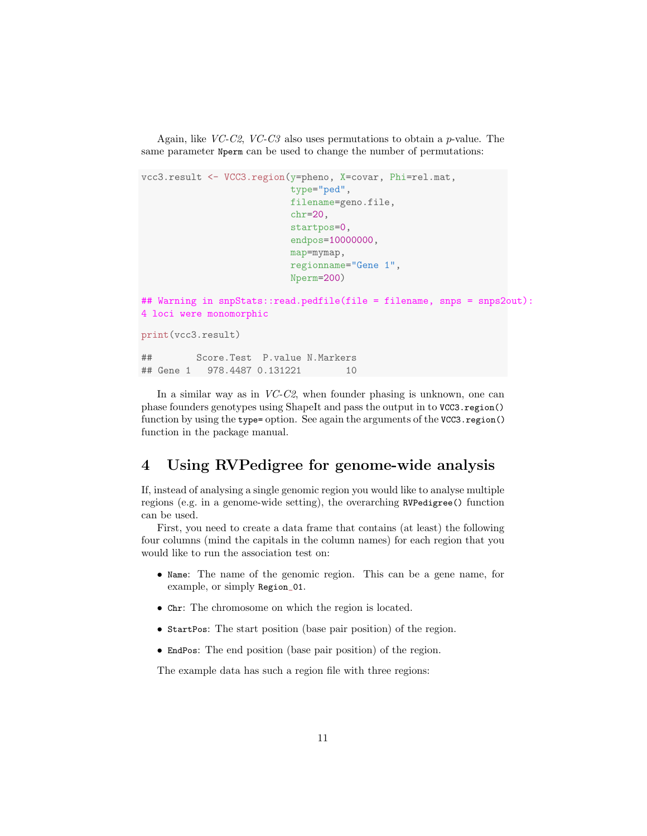Again, like  $VC-C2$ ,  $VC-C3$  also uses permutations to obtain a *p*-value. The same parameter Nperm can be used to change the number of permutations:

```
vcc3.result <- VCC3.region(y=pheno, X=covar, Phi=rel.mat,
                          type="ped",
                          filename=geno.file,
                          chr=20,
                          startpos=0,
                          endpos=10000000,
                          map=mymap,
                          regionname="Gene 1",
                          Nperm=200)
## Warning in snpStats::read.pedfile(file = filename, snps = snps2out):
4 loci were monomorphic
print(vcc3.result)
## Score.Test P.value N.Markers
## Gene 1 978.4487 0.131221 10
```
In a similar way as in  $VC-C2$ , when founder phasing is unknown, one can phase founders genotypes using ShapeIt and pass the output in to VCC3.region() function by using the type= option. See again the arguments of the VCC3.region() function in the package manual.

# <span id="page-10-0"></span>4 Using RVPedigree for genome-wide analysis

If, instead of analysing a single genomic region you would like to analyse multiple regions (e.g. in a genome-wide setting), the overarching RVPedigree() function can be used.

First, you need to create a data frame that contains (at least) the following four columns (mind the capitals in the column names) for each region that you would like to run the association test on:

- Name: The name of the genomic region. This can be a gene name, for example, or simply Region\_01.
- Chr: The chromosome on which the region is located.
- StartPos: The start position (base pair position) of the region.
- EndPos: The end position (base pair position) of the region.

The example data has such a region file with three regions: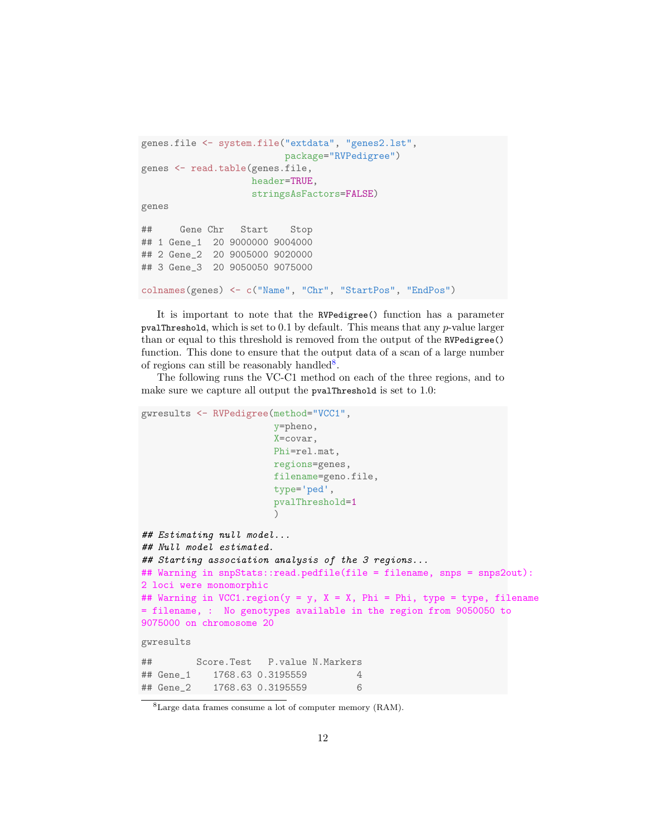```
genes.file <- system.file("extdata", "genes2.lst",
                         package="RVPedigree")
genes <- read.table(genes.file,
                   header=TRUE,
                   stringsAsFactors=FALSE)
genes
## Gene Chr Start Stop
## 1 Gene_1 20 9000000 9004000
## 2 Gene_2 20 9005000 9020000
## 3 Gene_3 20 9050050 9075000
colnames(genes) <- c("Name", "Chr", "StartPos", "EndPos")
```
It is important to note that the RVPedigree() function has a parameter pvalThreshold, which is set to  $0.1$  by default. This means that any  $p$ -value larger than or equal to this threshold is removed from the output of the RVPedigree() function. This done to ensure that the output data of a scan of a large number of regions can still be reasonably handled<sup>[8](#page-11-0)</sup>.

The following runs the VC-C1 method on each of the three regions, and to make sure we capture all output the pvalThreshold is set to 1.0:

```
gwresults <- RVPedigree(method="VCC1",
                       y=pheno,
                       X=covar,
                       Phi=rel.mat,
                       regions=genes,
                       filename=geno.file,
                       type='ped',
                       pvalThreshold=1
                       \lambda## Estimating null model...
## Null model estimated.
## Starting association analysis of the 3 regions...
## Warning in snpStats::read.pedfile(file = filename, snps = snps2out):
2 loci were monomorphic
## Warning in VCC1.region(y = y, X = X, Phi = Phi, type = type, filename
= filename, : No genotypes available in the region from 9050050 to
9075000 on chromosome 20
gwresults
## Score.Test P.value N.Markers
## Gene_1 1768.63 0.3195559 4
## Gene_2 1768.63 0.3195559 6
```
<span id="page-11-0"></span><sup>8</sup>Large data frames consume a lot of computer memory (RAM).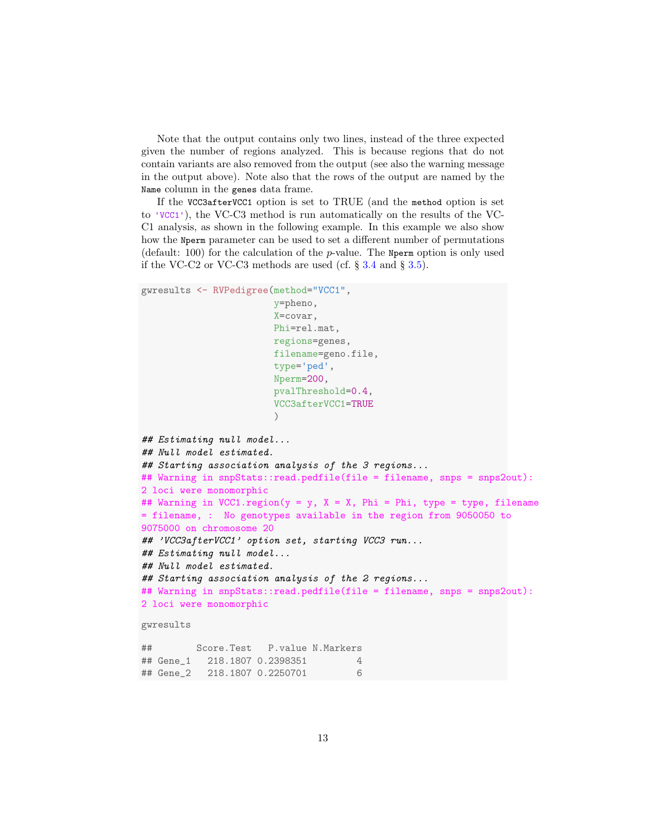Note that the output contains only two lines, instead of the three expected given the number of regions analyzed. This is because regions that do not contain variants are also removed from the output (see also the warning message in the output above). Note also that the rows of the output are named by the Name column in the genes data frame.

If the VCC3afterVCC1 option is set to TRUE (and the method option is set to 'VCC1'), the VC-C3 method is run automatically on the results of the VC-C1 analysis, as shown in the following example. In this example we also show how the Nperm parameter can be used to set a different number of permutations (default: 100) for the calculation of the  $p$ -value. The Nperm option is only used if the VC-C2 or VC-C3 methods are used (cf.  $\S 3.4$  $\S 3.4$  and  $\S 3.5$ ).

```
gwresults <- RVPedigree(method="VCC1",
```

```
y=pheno,
X=covar,
Phi=rel.mat,
regions=genes,
filename=geno.file,
type='ped',
Nperm=200,
pvalThreshold=0.4,
VCC3afterVCC1=TRUE
```
 $\lambda$ 

```
## Estimating null model...
## Null model estimated.
## Starting association analysis of the 3 regions...
## Warning in snpStats::read.pedfile(file = filename, snps = snps2out):
2 loci were monomorphic
## Warning in VCC1.region(y = y, X = X, Phi = Phi, type = type, filename
= filename, : No genotypes available in the region from 9050050 to
9075000 on chromosome 20
## 'VCC3afterVCC1' option set, starting VCC3 run...
## Estimating null model...
## Null model estimated.
## Starting association analysis of the 2 regions...
## Warning in snpStats::read.pedfile(file = filename, snps = snps2out):
2 loci were monomorphic
gwresults
```

```
## Score.Test P.value N.Markers
## Gene_1 218.1807 0.2398351 4
## Gene_2 218.1807 0.2250701 6
```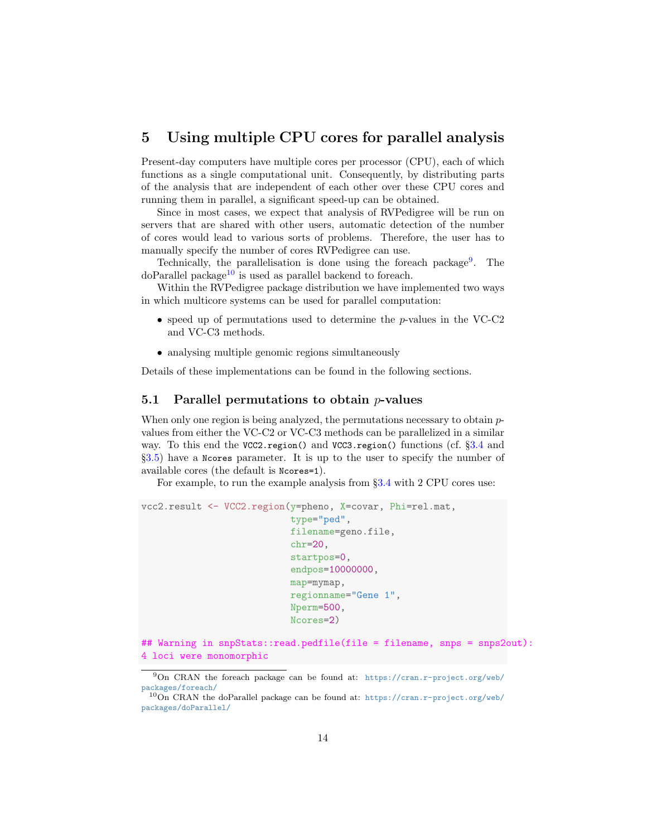# <span id="page-13-0"></span>5 Using multiple CPU cores for parallel analysis

Present-day computers have multiple cores per processor (CPU), each of which functions as a single computational unit. Consequently, by distributing parts of the analysis that are independent of each other over these CPU cores and running them in parallel, a significant speed-up can be obtained.

Since in most cases, we expect that analysis of RVPedigree will be run on servers that are shared with other users, automatic detection of the number of cores would lead to various sorts of problems. Therefore, the user has to manually specify the number of cores RVPedigree can use.

Technically, the parallelisation is done using the foreach package<sup>[9](#page-13-2)</sup>. The  $d$ oParallel package<sup>[10](#page-13-3)</sup> is used as parallel backend to foreach.

Within the RVPedigree package distribution we have implemented two ways in which multicore systems can be used for parallel computation:

- speed up of permutations used to determine the  $p$ -values in the VC-C2 and VC-C3 methods.
- analysing multiple genomic regions simultaneously

Details of these implementations can be found in the following sections.

#### <span id="page-13-1"></span>5.1 Parallel permutations to obtain  $p$ -values

When only one region is being analyzed, the permutations necessary to obtain  $p$ values from either the VC-C2 or VC-C3 methods can be parallelized in a similar way. To this end the VCC2.region() and VCC3.region() functions (cf. §[3.4](#page-8-0) and §[3.5\)](#page-9-0) have a Ncores parameter. It is up to the user to specify the number of available cores (the default is Ncores=1).

For example, to run the example analysis from §[3.4](#page-8-0) with 2 CPU cores use:

```
vcc2.result <- VCC2.region(y=pheno, X=covar, Phi=rel.mat,
                            type="ped",
                            filename=geno.file,
                            chr=20,
                            startpos=0,
                            endpos=10000000,
                            map=mymap,
                            regionname="Gene 1",
                            Nperm=500,
                            Ncores=2)
```
## Warning in snpStats::read.pedfile(file = filename, snps = snps2out): 4 loci were monomorphic

<span id="page-13-2"></span><sup>9</sup>On CRAN the foreach package can be found at: [https://cran.r-project.org/web/](https://cran.r-project.org/web/packages/foreach/) [packages/foreach/](https://cran.r-project.org/web/packages/foreach/)

<span id="page-13-3"></span><sup>&</sup>lt;sup>10</sup>On CRAN the doParallel package can be found at: [https://cran.r-project.org/web/](https://cran.r-project.org/web/packages/doParallel/) [packages/doParallel/](https://cran.r-project.org/web/packages/doParallel/)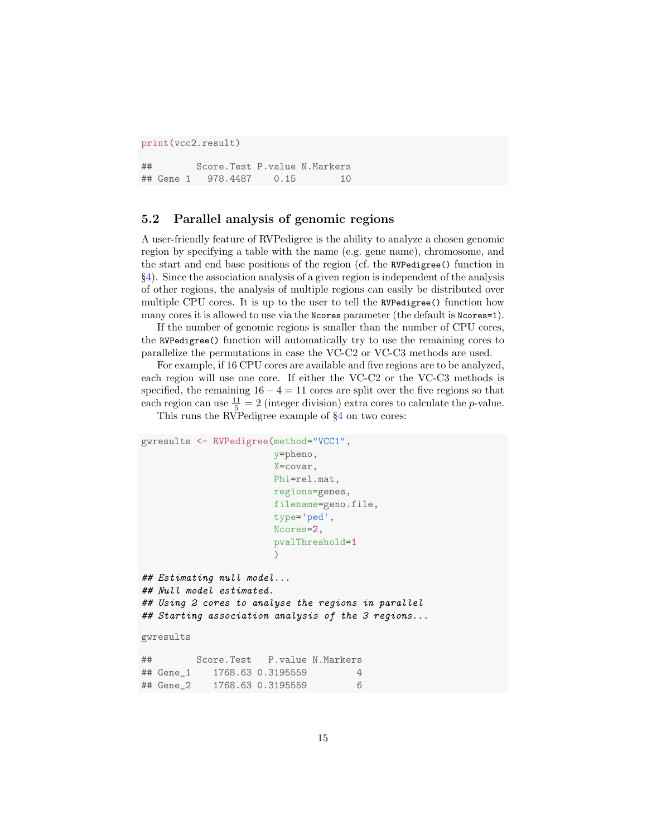print(vcc2.result)

## Score.Test P.value N.Markers ## Gene 1 978.4487 0.15 10

#### <span id="page-14-0"></span>5.2 Parallel analysis of genomic regions

A user-friendly feature of RVPedigree is the ability to analyze a chosen genomic region by specifying a table with the name (e.g. gene name), chromosome, and the start and end base positions of the region (cf. the RVPedigree() function in §[4\)](#page-10-0). Since the association analysis of a given region is independent of the analysis of other regions, the analysis of multiple regions can easily be distributed over multiple CPU cores. It is up to the user to tell the RVPedigree() function how many cores it is allowed to use via the Ncores parameter (the default is Ncores=1).

If the number of genomic regions is smaller than the number of CPU cores, the RVPedigree() function will automatically try to use the remaining cores to parallelize the permutations in case the VC-C2 or VC-C3 methods are used.

For example, if 16 CPU cores are available and five regions are to be analyzed, each region will use one core. If either the VC-C2 or the VC-C3 methods is specified, the remaining  $16 - 4 = 11$  cores are split over the five regions so that each region can use  $\frac{11}{5} = 2$  (integer division) extra cores to calculate the *p*-value.

This runs the RVPedigree example of §[4](#page-10-0) on two cores:

```
gwresults <- RVPedigree(method="VCC1",
                       y=pheno,
                       X=covar,
                       Phi=rel.mat,
                       regions=genes,
                       filename=geno.file,
                       type='ped',
                       Ncores=2,
                       pvalThreshold=1
                       )
## Estimating null model...
## Null model estimated.
## Using 2 cores to analyse the regions in parallel
## Starting association analysis of the 3 regions...
gwresults
## Score.Test P.value N.Markers
## Gene_1 1768.63 0.3195559 4
```
## Gene\_2 1768.63 0.3195559 6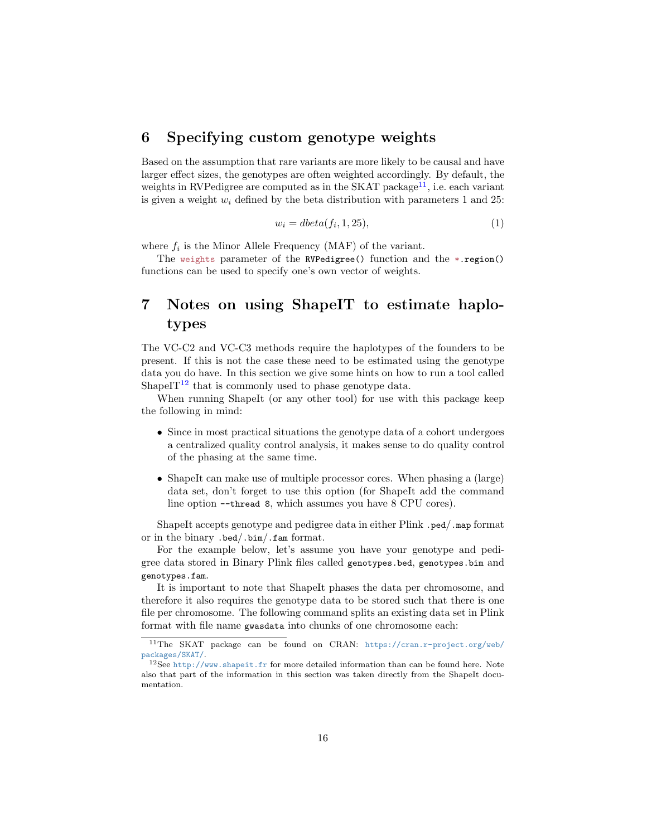# <span id="page-15-0"></span>6 Specifying custom genotype weights

Based on the assumption that rare variants are more likely to be causal and have larger effect sizes, the genotypes are often weighted accordingly. By default, the weights in RVPedigree are computed as in the SKAT package<sup>[11](#page-15-2)</sup>, i.e. each variant is given a weight  $w_i$  defined by the beta distribution with parameters 1 and 25:

$$
w_i = \text{dbeta}(f_i, 1, 25),\tag{1}
$$

where  $f_i$  is the Minor Allele Frequency (MAF) of the variant.

The weights parameter of the RVPedigree() function and the  $\ast$ . region() functions can be used to specify one's own vector of weights.

# <span id="page-15-1"></span>7 Notes on using ShapeIT to estimate haplotypes

The VC-C2 and VC-C3 methods require the haplotypes of the founders to be present. If this is not the case these need to be estimated using the genotype data you do have. In this section we give some hints on how to run a tool called ShapeIT<sup>[12](#page-15-3)</sup> that is commonly used to phase genotype data.

When running ShapeIt (or any other tool) for use with this package keep the following in mind:

- Since in most practical situations the genotype data of a cohort undergoes a centralized quality control analysis, it makes sense to do quality control of the phasing at the same time.
- ShapeIt can make use of multiple processor cores. When phasing a (large) data set, don't forget to use this option (for ShapeIt add the command line option --thread 8, which assumes you have 8 CPU cores).

ShapeIt accepts genotype and pedigree data in either Plink .ped/.map format or in the binary .bed/.bim/.fam format.

For the example below, let's assume you have your genotype and pedigree data stored in Binary Plink files called genotypes.bed, genotypes.bim and genotypes.fam.

It is important to note that ShapeIt phases the data per chromosome, and therefore it also requires the genotype data to be stored such that there is one file per chromosome. The following command splits an existing data set in Plink format with file name gwasdata into chunks of one chromosome each:

<span id="page-15-2"></span><sup>11</sup>The SKAT package can be found on CRAN: [https://cran.r-project.org/web/](https://cran.r-project.org/web/packages/SKAT/) [packages/SKAT/](https://cran.r-project.org/web/packages/SKAT/).

<span id="page-15-3"></span><sup>&</sup>lt;sup>12</sup>See <http://www.shapeit.fr> for more detailed information than can be found here. Note also that part of the information in this section was taken directly from the ShapeIt documentation.